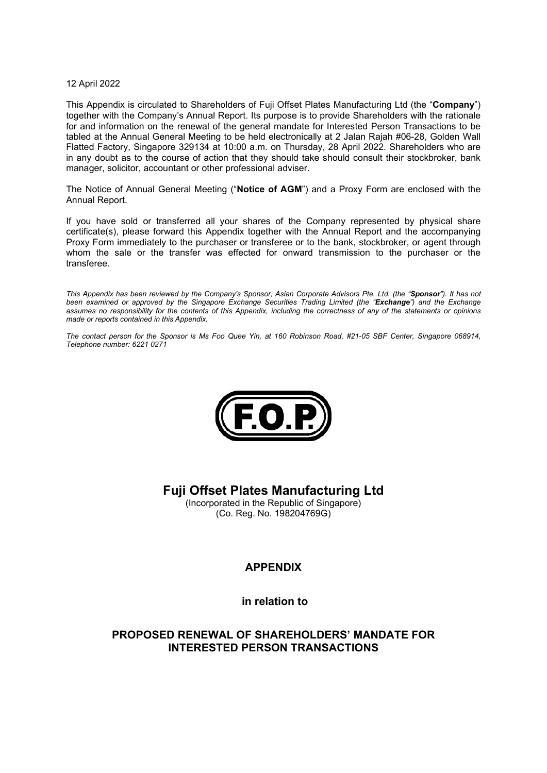#### 12 April 2022

This Appendix is circulated to Shareholders of Fuji Offset Plates Manufacturing Ltd (the "Company") together with the Company's Annual Report. Its purpose is to provide Shareholders with the rationale for and information on the renewal of the general mandate for Interested Person Transactions to be tabled at the Annual General Meeting to be held electronically at 2 Jalan Rajah #06-28, Golden Wall Flatted Factory, Singapore 329134 at 10:00 a.m. on Thursday, 28 April 2022. Shareholders who are in any doubt as to the course of action that they should take should consult their stockbroker, bank manager, solicitor, accountant or other professional adviser.

The Notice of Annual General Meeting ("Notice of AGM") and a Proxy Form are enclosed with the Annual Report.

If you have sold or transferred all your shares of the Company represented by physical share certificate(s), please forward this Appendix together with the Annual Report and the accompanying Proxy Form immediately to the purchaser or transferee or to the bank, stockbroker, or agent through whom the sale or the transfer was effected for onward transmission to the purchaser or the transferee.

This Appendix has been reviewed by the Company's Sponsor, Asian Corporate Advisors Pte. Ltd. (the "Sponsor"). It has not been examined or approved by the Singapore Exchange Securities Trading Limited (the "Exchange") and the Exchange assumes no responsibility for the contents of this Appendix, including the correctness of any of the statements or opinions made or reports contained in this Appendix.

The contact person for the Sponsor is Ms Foo Quee Yin, at 160 Robinson Road, #21-05 SBF Center, Singapore 068914, Telephone number: 6221 0271



Fuji Offset Plates Manufacturing Ltd

(Incorporated in the Republic of Singapore) (Co. Reg. No. 198204769G)

## APPENDIX

in relation to

## PROPOSED RENEWAL OF SHAREHOLDERS' MANDATE FOR INTERESTED PERSON TRANSACTIONS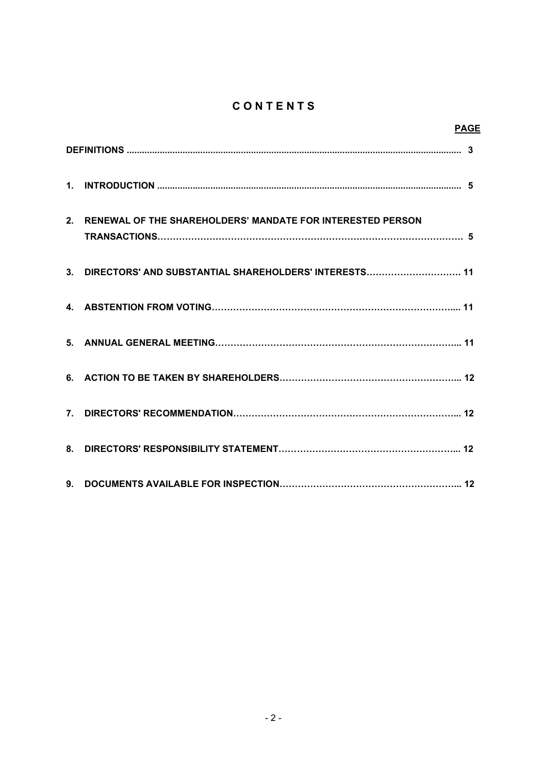# **CONTENTS**

| <b>PAGE</b>                                                   |  |
|---------------------------------------------------------------|--|
|                                                               |  |
|                                                               |  |
| 2. RENEWAL OF THE SHAREHOLDERS' MANDATE FOR INTERESTED PERSON |  |
| 3. DIRECTORS' AND SUBSTANTIAL SHAREHOLDERS' INTERESTS 11      |  |
|                                                               |  |
|                                                               |  |
|                                                               |  |
|                                                               |  |
|                                                               |  |
|                                                               |  |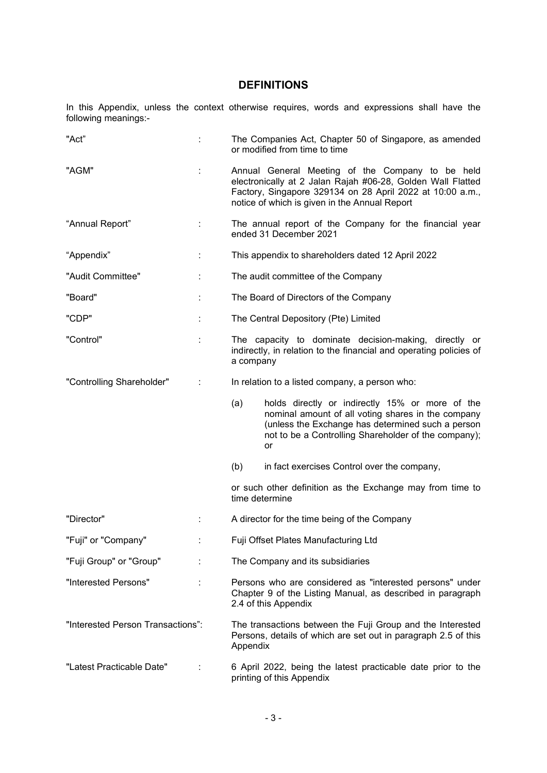## DEFINITIONS

In this Appendix, unless the context otherwise requires, words and expressions shall have the following meanings:-

| "Act"                             |   | The Companies Act, Chapter 50 of Singapore, as amended<br>or modified from time to time                                                                                                                                       |                                                                                                                                                                                                                          |  |  |  |
|-----------------------------------|---|-------------------------------------------------------------------------------------------------------------------------------------------------------------------------------------------------------------------------------|--------------------------------------------------------------------------------------------------------------------------------------------------------------------------------------------------------------------------|--|--|--|
| "AGM"                             |   | Annual General Meeting of the Company to be held<br>electronically at 2 Jalan Rajah #06-28, Golden Wall Flatted<br>Factory, Singapore 329134 on 28 April 2022 at 10:00 a.m.,<br>notice of which is given in the Annual Report |                                                                                                                                                                                                                          |  |  |  |
| "Annual Report"                   |   | The annual report of the Company for the financial year<br>ended 31 December 2021                                                                                                                                             |                                                                                                                                                                                                                          |  |  |  |
| "Appendix"                        | ÷ | This appendix to shareholders dated 12 April 2022                                                                                                                                                                             |                                                                                                                                                                                                                          |  |  |  |
| "Audit Committee"                 |   | The audit committee of the Company                                                                                                                                                                                            |                                                                                                                                                                                                                          |  |  |  |
| "Board"                           |   | The Board of Directors of the Company                                                                                                                                                                                         |                                                                                                                                                                                                                          |  |  |  |
| "CDP"                             |   | The Central Depository (Pte) Limited                                                                                                                                                                                          |                                                                                                                                                                                                                          |  |  |  |
| "Control"                         |   | The capacity to dominate decision-making, directly or<br>indirectly, in relation to the financial and operating policies of<br>a company                                                                                      |                                                                                                                                                                                                                          |  |  |  |
| "Controlling Shareholder"         |   |                                                                                                                                                                                                                               | In relation to a listed company, a person who:                                                                                                                                                                           |  |  |  |
|                                   |   | (a)                                                                                                                                                                                                                           | holds directly or indirectly 15% or more of the<br>nominal amount of all voting shares in the company<br>(unless the Exchange has determined such a person<br>not to be a Controlling Shareholder of the company);<br>or |  |  |  |
|                                   |   | (b)                                                                                                                                                                                                                           | in fact exercises Control over the company,                                                                                                                                                                              |  |  |  |
|                                   |   | time determine                                                                                                                                                                                                                | or such other definition as the Exchange may from time to                                                                                                                                                                |  |  |  |
| "Director"                        |   |                                                                                                                                                                                                                               | A director for the time being of the Company                                                                                                                                                                             |  |  |  |
| "Fuji" or "Company"               |   | Fuji Offset Plates Manufacturing Ltd                                                                                                                                                                                          |                                                                                                                                                                                                                          |  |  |  |
| "Fuji Group" or "Group"           |   | The Company and its subsidiaries                                                                                                                                                                                              |                                                                                                                                                                                                                          |  |  |  |
| "Interested Persons"              |   | Persons who are considered as "interested persons" under<br>Chapter 9 of the Listing Manual, as described in paragraph<br>2.4 of this Appendix                                                                                |                                                                                                                                                                                                                          |  |  |  |
| "Interested Person Transactions": |   | The transactions between the Fuji Group and the Interested<br>Persons, details of which are set out in paragraph 2.5 of this<br>Appendix                                                                                      |                                                                                                                                                                                                                          |  |  |  |
| "Latest Practicable Date"         |   | 6 April 2022, being the latest practicable date prior to the<br>printing of this Appendix                                                                                                                                     |                                                                                                                                                                                                                          |  |  |  |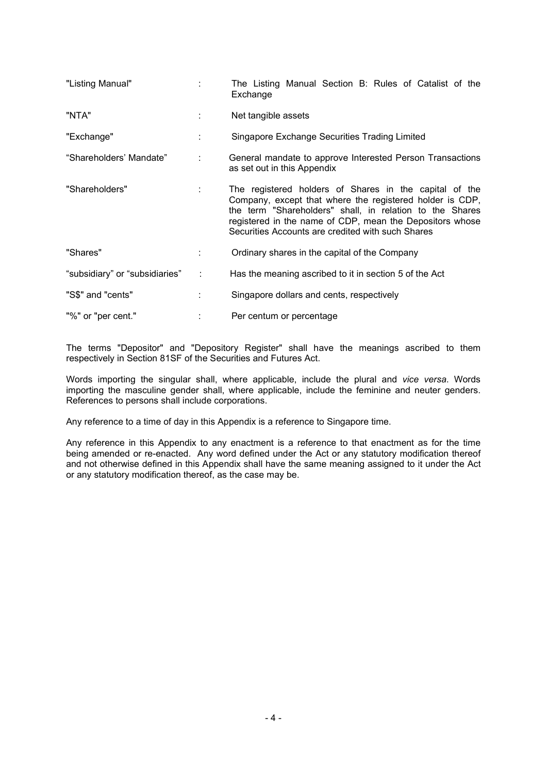| "Listing Manual"               |   | The Listing Manual Section B: Rules of Catalist of the<br>Exchange                                                                                                                                                                                                                              |  |  |  |  |  |  |  |
|--------------------------------|---|-------------------------------------------------------------------------------------------------------------------------------------------------------------------------------------------------------------------------------------------------------------------------------------------------|--|--|--|--|--|--|--|
| "NTA"                          |   | Net tangible assets                                                                                                                                                                                                                                                                             |  |  |  |  |  |  |  |
| "Exchange"                     |   | Singapore Exchange Securities Trading Limited                                                                                                                                                                                                                                                   |  |  |  |  |  |  |  |
| "Shareholders' Mandate"        |   | General mandate to approve Interested Person Transactions<br>as set out in this Appendix                                                                                                                                                                                                        |  |  |  |  |  |  |  |
| "Shareholders"                 |   | The registered holders of Shares in the capital of the<br>Company, except that where the registered holder is CDP,<br>the term "Shareholders" shall, in relation to the Shares<br>registered in the name of CDP, mean the Depositors whose<br>Securities Accounts are credited with such Shares |  |  |  |  |  |  |  |
| "Shares"<br>÷                  |   | Ordinary shares in the capital of the Company                                                                                                                                                                                                                                                   |  |  |  |  |  |  |  |
| "subsidiary" or "subsidiaries" | ÷ | Has the meaning ascribed to it in section 5 of the Act                                                                                                                                                                                                                                          |  |  |  |  |  |  |  |
| "S\$" and "cents"<br>÷         |   | Singapore dollars and cents, respectively                                                                                                                                                                                                                                                       |  |  |  |  |  |  |  |
| "%" or "per cent."             |   | Per centum or percentage                                                                                                                                                                                                                                                                        |  |  |  |  |  |  |  |

The terms "Depositor" and "Depository Register" shall have the meanings ascribed to them respectively in Section 81SF of the Securities and Futures Act.

Words importing the singular shall, where applicable, include the plural and vice versa. Words importing the masculine gender shall, where applicable, include the feminine and neuter genders. References to persons shall include corporations.

Any reference to a time of day in this Appendix is a reference to Singapore time.

Any reference in this Appendix to any enactment is a reference to that enactment as for the time being amended or re-enacted. Any word defined under the Act or any statutory modification thereof and not otherwise defined in this Appendix shall have the same meaning assigned to it under the Act or any statutory modification thereof, as the case may be.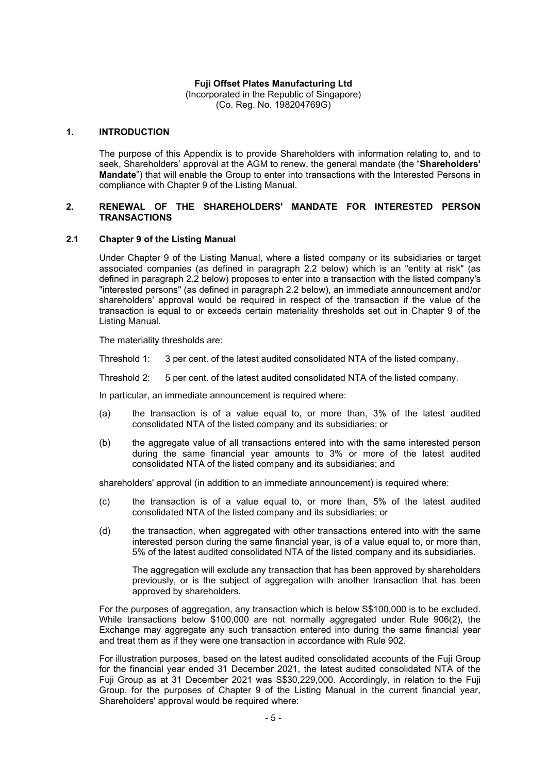#### Fuji Offset Plates Manufacturing Ltd

(Incorporated in the Republic of Singapore) (Co. Reg. No. 198204769G)

#### 1. INTRODUCTION

 The purpose of this Appendix is to provide Shareholders with information relating to, and to seek, Shareholders' approval at the AGM to renew, the general mandate (the "Shareholders' Mandate") that will enable the Group to enter into transactions with the Interested Persons in compliance with Chapter 9 of the Listing Manual.

#### 2. RENEWAL OF THE SHAREHOLDERS' MANDATE FOR INTERESTED PERSON **TRANSACTIONS**

#### 2.1 Chapter 9 of the Listing Manual

 Under Chapter 9 of the Listing Manual, where a listed company or its subsidiaries or target associated companies (as defined in paragraph 2.2 below) which is an "entity at risk" (as defined in paragraph 2.2 below) proposes to enter into a transaction with the listed company's "interested persons" (as defined in paragraph 2.2 below), an immediate announcement and/or shareholders' approval would be required in respect of the transaction if the value of the transaction is equal to or exceeds certain materiality thresholds set out in Chapter 9 of the Listing Manual.

The materiality thresholds are:

Threshold 1: 3 per cent. of the latest audited consolidated NTA of the listed company.

Threshold 2: 5 per cent. of the latest audited consolidated NTA of the listed company.

In particular, an immediate announcement is required where:

- (a) the transaction is of a value equal to, or more than, 3% of the latest audited consolidated NTA of the listed company and its subsidiaries; or
- (b) the aggregate value of all transactions entered into with the same interested person during the same financial year amounts to 3% or more of the latest audited consolidated NTA of the listed company and its subsidiaries; and

shareholders' approval (in addition to an immediate announcement) is required where:

- (c) the transaction is of a value equal to, or more than, 5% of the latest audited consolidated NTA of the listed company and its subsidiaries; or
- (d) the transaction, when aggregated with other transactions entered into with the same interested person during the same financial year, is of a value equal to, or more than, 5% of the latest audited consolidated NTA of the listed company and its subsidiaries.

 The aggregation will exclude any transaction that has been approved by shareholders previously, or is the subject of aggregation with another transaction that has been approved by shareholders.

For the purposes of aggregation, any transaction which is below S\$100,000 is to be excluded. While transactions below \$100,000 are not normally aggregated under Rule 906(2), the Exchange may aggregate any such transaction entered into during the same financial year and treat them as if they were one transaction in accordance with Rule 902.

For illustration purposes, based on the latest audited consolidated accounts of the Fuji Group for the financial year ended 31 December 2021, the latest audited consolidated NTA of the Fuji Group as at 31 December 2021 was S\$30,229,000. Accordingly, in relation to the Fuji Group, for the purposes of Chapter 9 of the Listing Manual in the current financial year, Shareholders' approval would be required where: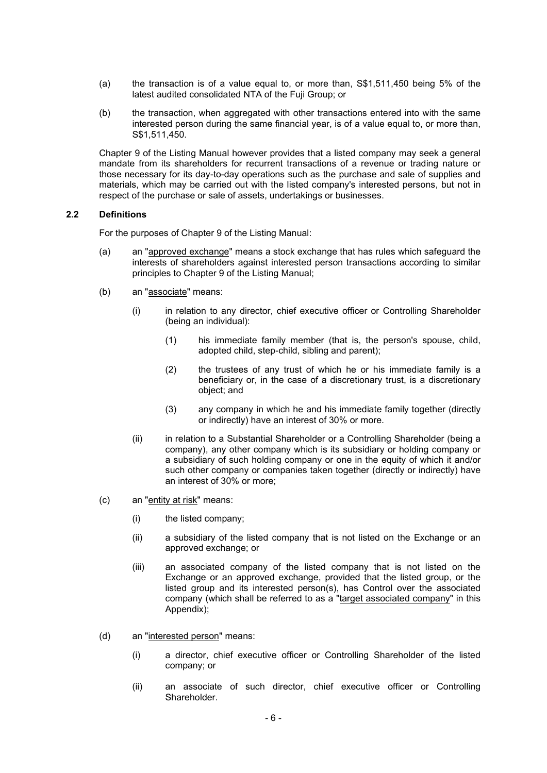- (a) the transaction is of a value equal to, or more than, S\$1,511,450 being 5% of the latest audited consolidated NTA of the Fuji Group; or
- (b) the transaction, when aggregated with other transactions entered into with the same interested person during the same financial year, is of a value equal to, or more than, S\$1,511,450.

Chapter 9 of the Listing Manual however provides that a listed company may seek a general mandate from its shareholders for recurrent transactions of a revenue or trading nature or those necessary for its day-to-day operations such as the purchase and sale of supplies and materials, which may be carried out with the listed company's interested persons, but not in respect of the purchase or sale of assets, undertakings or businesses.

#### 2.2 Definitions

For the purposes of Chapter 9 of the Listing Manual:

- (a) an "approved exchange" means a stock exchange that has rules which safeguard the interests of shareholders against interested person transactions according to similar principles to Chapter 9 of the Listing Manual;
- (b) an "associate" means:
	- (i) in relation to any director, chief executive officer or Controlling Shareholder (being an individual):
		- (1) his immediate family member (that is, the person's spouse, child, adopted child, step-child, sibling and parent);
		- (2) the trustees of any trust of which he or his immediate family is a beneficiary or, in the case of a discretionary trust, is a discretionary object; and
		- (3) any company in which he and his immediate family together (directly or indirectly) have an interest of 30% or more.
	- (ii) in relation to a Substantial Shareholder or a Controlling Shareholder (being a company), any other company which is its subsidiary or holding company or a subsidiary of such holding company or one in the equity of which it and/or such other company or companies taken together (directly or indirectly) have an interest of 30% or more;
- (c) an "entity at risk" means:
	- (i) the listed company;
	- (ii) a subsidiary of the listed company that is not listed on the Exchange or an approved exchange; or
	- (iii) an associated company of the listed company that is not listed on the Exchange or an approved exchange, provided that the listed group, or the listed group and its interested person(s), has Control over the associated company (which shall be referred to as a "target associated company" in this Appendix);
- (d) an "interested person" means:
	- (i) a director, chief executive officer or Controlling Shareholder of the listed company; or
	- (ii) an associate of such director, chief executive officer or Controlling Shareholder.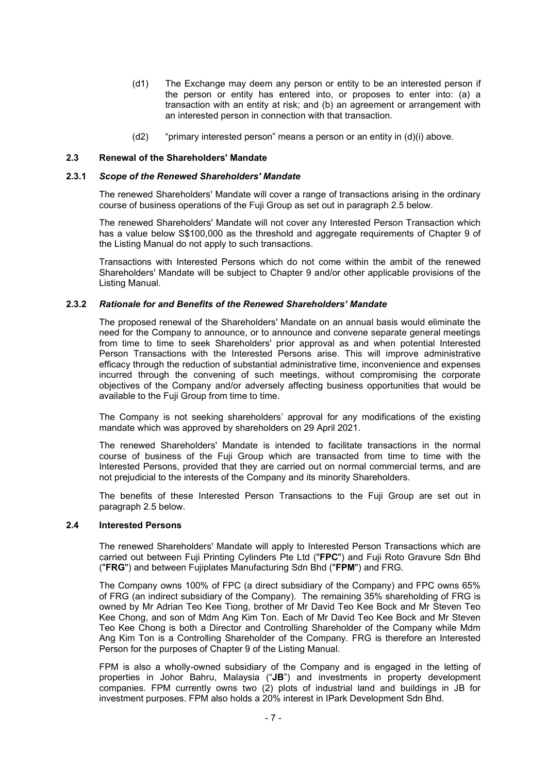- (d1) The Exchange may deem any person or entity to be an interested person if the person or entity has entered into, or proposes to enter into: (a) a transaction with an entity at risk; and (b) an agreement or arrangement with an interested person in connection with that transaction.
- $(d2)$  "primary interested person" means a person or an entity in  $(d)(i)$  above.

#### 2.3 Renewal of the Shareholders' Mandate

#### 2.3.1 Scope of the Renewed Shareholders' Mandate

The renewed Shareholders' Mandate will cover a range of transactions arising in the ordinary course of business operations of the Fuji Group as set out in paragraph 2.5 below.

The renewed Shareholders' Mandate will not cover any Interested Person Transaction which has a value below S\$100,000 as the threshold and aggregate requirements of Chapter 9 of the Listing Manual do not apply to such transactions.

Transactions with Interested Persons which do not come within the ambit of the renewed Shareholders' Mandate will be subject to Chapter 9 and/or other applicable provisions of the Listing Manual.

#### 2.3.2 Rationale for and Benefits of the Renewed Shareholders' Mandate

The proposed renewal of the Shareholders' Mandate on an annual basis would eliminate the need for the Company to announce, or to announce and convene separate general meetings from time to time to seek Shareholders' prior approval as and when potential Interested Person Transactions with the Interested Persons arise. This will improve administrative efficacy through the reduction of substantial administrative time, inconvenience and expenses incurred through the convening of such meetings, without compromising the corporate objectives of the Company and/or adversely affecting business opportunities that would be available to the Fuji Group from time to time.

The Company is not seeking shareholders' approval for any modifications of the existing mandate which was approved by shareholders on 29 April 2021.

The renewed Shareholders' Mandate is intended to facilitate transactions in the normal course of business of the Fuji Group which are transacted from time to time with the Interested Persons, provided that they are carried out on normal commercial terms, and are not prejudicial to the interests of the Company and its minority Shareholders.

The benefits of these Interested Person Transactions to the Fuji Group are set out in paragraph 2.5 below.

#### 2.4 Interested Persons

The renewed Shareholders' Mandate will apply to Interested Person Transactions which are carried out between Fuji Printing Cylinders Pte Ltd ("FPC") and Fuji Roto Gravure Sdn Bhd ("FRG") and between Fujiplates Manufacturing Sdn Bhd ("FPM") and FRG.

The Company owns 100% of FPC (a direct subsidiary of the Company) and FPC owns 65% of FRG (an indirect subsidiary of the Company). The remaining 35% shareholding of FRG is owned by Mr Adrian Teo Kee Tiong, brother of Mr David Teo Kee Bock and Mr Steven Teo Kee Chong, and son of Mdm Ang Kim Ton. Each of Mr David Teo Kee Bock and Mr Steven Teo Kee Chong is both a Director and Controlling Shareholder of the Company while Mdm Ang Kim Ton is a Controlling Shareholder of the Company. FRG is therefore an Interested Person for the purposes of Chapter 9 of the Listing Manual.

FPM is also a wholly-owned subsidiary of the Company and is engaged in the letting of properties in Johor Bahru, Malaysia ("JB") and investments in property development companies. FPM currently owns two (2) plots of industrial land and buildings in JB for investment purposes. FPM also holds a 20% interest in IPark Development Sdn Bhd.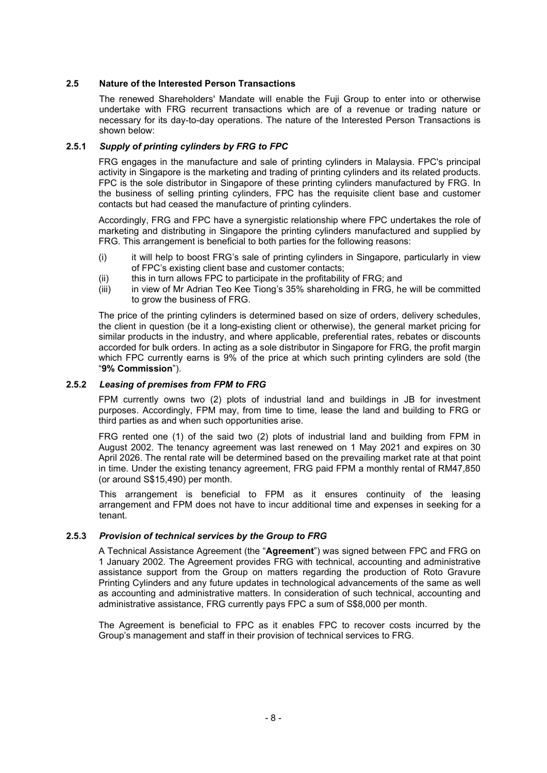#### 2.5 Nature of the Interested Person Transactions

The renewed Shareholders' Mandate will enable the Fuji Group to enter into or otherwise undertake with FRG recurrent transactions which are of a revenue or trading nature or necessary for its day-to-day operations. The nature of the Interested Person Transactions is shown below:

#### 2.5.1 Supply of printing cylinders by FRG to FPC

FRG engages in the manufacture and sale of printing cylinders in Malaysia. FPC's principal activity in Singapore is the marketing and trading of printing cylinders and its related products. FPC is the sole distributor in Singapore of these printing cylinders manufactured by FRG. In the business of selling printing cylinders, FPC has the requisite client base and customer contacts but had ceased the manufacture of printing cylinders.

Accordingly, FRG and FPC have a synergistic relationship where FPC undertakes the role of marketing and distributing in Singapore the printing cylinders manufactured and supplied by FRG. This arrangement is beneficial to both parties for the following reasons:

- (i) it will help to boost FRG's sale of printing cylinders in Singapore, particularly in view of FPC's existing client base and customer contacts;
- (ii) this in turn allows FPC to participate in the profitability of FRG; and
- (iii) in view of Mr Adrian Teo Kee Tiong's 35% shareholding in FRG, he will be committed to grow the business of FRG.

The price of the printing cylinders is determined based on size of orders, delivery schedules, the client in question (be it a long-existing client or otherwise), the general market pricing for similar products in the industry, and where applicable, preferential rates, rebates or discounts accorded for bulk orders. In acting as a sole distributor in Singapore for FRG, the profit margin which FPC currently earns is 9% of the price at which such printing cylinders are sold (the "9% Commission").

#### 2.5.2 Leasing of premises from FPM to FRG

FPM currently owns two (2) plots of industrial land and buildings in JB for investment purposes. Accordingly, FPM may, from time to time, lease the land and building to FRG or third parties as and when such opportunities arise.

FRG rented one (1) of the said two (2) plots of industrial land and building from FPM in August 2002. The tenancy agreement was last renewed on 1 May 2021 and expires on 30 April 2026. The rental rate will be determined based on the prevailing market rate at that point in time. Under the existing tenancy agreement, FRG paid FPM a monthly rental of RM47,850 (or around S\$15,490) per month.

 This arrangement is beneficial to FPM as it ensures continuity of the leasing arrangement and FPM does not have to incur additional time and expenses in seeking for a tenant.

#### 2.5.3 Provision of technical services by the Group to FRG

A Technical Assistance Agreement (the "Agreement") was signed between FPC and FRG on 1 January 2002. The Agreement provides FRG with technical, accounting and administrative assistance support from the Group on matters regarding the production of Roto Gravure Printing Cylinders and any future updates in technological advancements of the same as well as accounting and administrative matters. In consideration of such technical, accounting and administrative assistance, FRG currently pays FPC a sum of S\$8,000 per month.

The Agreement is beneficial to FPC as it enables FPC to recover costs incurred by the Group's management and staff in their provision of technical services to FRG.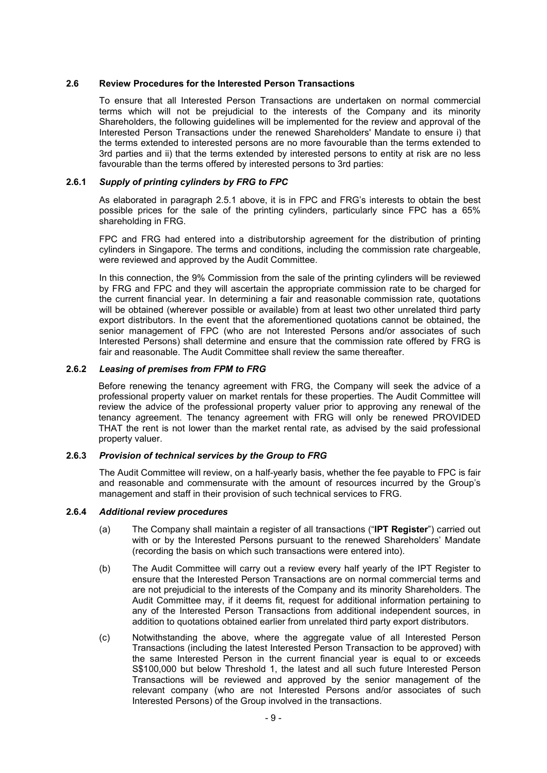#### 2.6 Review Procedures for the Interested Person Transactions

To ensure that all Interested Person Transactions are undertaken on normal commercial terms which will not be prejudicial to the interests of the Company and its minority Shareholders, the following guidelines will be implemented for the review and approval of the Interested Person Transactions under the renewed Shareholders' Mandate to ensure i) that the terms extended to interested persons are no more favourable than the terms extended to 3rd parties and ii) that the terms extended by interested persons to entity at risk are no less favourable than the terms offered by interested persons to 3rd parties:

#### 2.6.1 Supply of printing cylinders by FRG to FPC

As elaborated in paragraph 2.5.1 above, it is in FPC and FRG's interests to obtain the best possible prices for the sale of the printing cylinders, particularly since FPC has a 65% shareholding in FRG.

FPC and FRG had entered into a distributorship agreement for the distribution of printing cylinders in Singapore. The terms and conditions, including the commission rate chargeable, were reviewed and approved by the Audit Committee.

In this connection, the 9% Commission from the sale of the printing cylinders will be reviewed by FRG and FPC and they will ascertain the appropriate commission rate to be charged for the current financial year. In determining a fair and reasonable commission rate, quotations will be obtained (wherever possible or available) from at least two other unrelated third party export distributors. In the event that the aforementioned quotations cannot be obtained, the senior management of FPC (who are not Interested Persons and/or associates of such Interested Persons) shall determine and ensure that the commission rate offered by FRG is fair and reasonable. The Audit Committee shall review the same thereafter.

#### 2.6.2 Leasing of premises from FPM to FRG

Before renewing the tenancy agreement with FRG, the Company will seek the advice of a professional property valuer on market rentals for these properties. The Audit Committee will review the advice of the professional property valuer prior to approving any renewal of the tenancy agreement. The tenancy agreement with FRG will only be renewed PROVIDED THAT the rent is not lower than the market rental rate, as advised by the said professional property valuer.

#### 2.6.3 Provision of technical services by the Group to FRG

The Audit Committee will review, on a half-yearly basis, whether the fee payable to FPC is fair and reasonable and commensurate with the amount of resources incurred by the Group's management and staff in their provision of such technical services to FRG.

#### 2.6.4 Additional review procedures

- (a) The Company shall maintain a register of all transactions ("IPT Register") carried out with or by the Interested Persons pursuant to the renewed Shareholders' Mandate (recording the basis on which such transactions were entered into).
- (b) The Audit Committee will carry out a review every half yearly of the IPT Register to ensure that the Interested Person Transactions are on normal commercial terms and are not prejudicial to the interests of the Company and its minority Shareholders. The Audit Committee may, if it deems fit, request for additional information pertaining to any of the Interested Person Transactions from additional independent sources, in addition to quotations obtained earlier from unrelated third party export distributors.
- (c) Notwithstanding the above, where the aggregate value of all Interested Person Transactions (including the latest Interested Person Transaction to be approved) with the same Interested Person in the current financial year is equal to or exceeds S\$100,000 but below Threshold 1, the latest and all such future Interested Person Transactions will be reviewed and approved by the senior management of the relevant company (who are not Interested Persons and/or associates of such Interested Persons) of the Group involved in the transactions.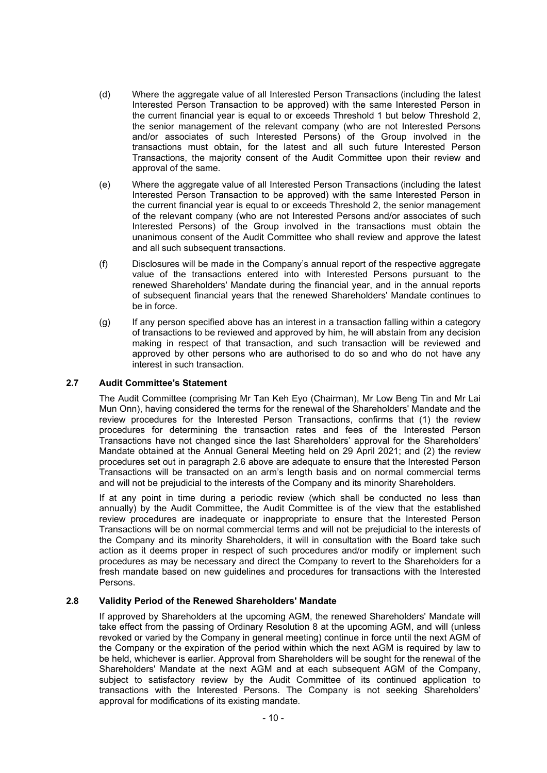- (d) Where the aggregate value of all Interested Person Transactions (including the latest Interested Person Transaction to be approved) with the same Interested Person in the current financial year is equal to or exceeds Threshold 1 but below Threshold 2, the senior management of the relevant company (who are not Interested Persons and/or associates of such Interested Persons) of the Group involved in the transactions must obtain, for the latest and all such future Interested Person Transactions, the majority consent of the Audit Committee upon their review and approval of the same.
- (e) Where the aggregate value of all Interested Person Transactions (including the latest Interested Person Transaction to be approved) with the same Interested Person in the current financial year is equal to or exceeds Threshold 2, the senior management of the relevant company (who are not Interested Persons and/or associates of such Interested Persons) of the Group involved in the transactions must obtain the unanimous consent of the Audit Committee who shall review and approve the latest and all such subsequent transactions.
- (f) Disclosures will be made in the Company's annual report of the respective aggregate value of the transactions entered into with Interested Persons pursuant to the renewed Shareholders' Mandate during the financial year, and in the annual reports of subsequent financial years that the renewed Shareholders' Mandate continues to be in force.
- (g) If any person specified above has an interest in a transaction falling within a category of transactions to be reviewed and approved by him, he will abstain from any decision making in respect of that transaction, and such transaction will be reviewed and approved by other persons who are authorised to do so and who do not have any interest in such transaction.

#### 2.7 Audit Committee's Statement

 The Audit Committee (comprising Mr Tan Keh Eyo (Chairman), Mr Low Beng Tin and Mr Lai Mun Onn), having considered the terms for the renewal of the Shareholders' Mandate and the review procedures for the Interested Person Transactions, confirms that (1) the review procedures for determining the transaction rates and fees of the Interested Person Transactions have not changed since the last Shareholders' approval for the Shareholders' Mandate obtained at the Annual General Meeting held on 29 April 2021; and (2) the review procedures set out in paragraph 2.6 above are adequate to ensure that the Interested Person Transactions will be transacted on an arm's length basis and on normal commercial terms and will not be prejudicial to the interests of the Company and its minority Shareholders.

 If at any point in time during a periodic review (which shall be conducted no less than annually) by the Audit Committee, the Audit Committee is of the view that the established review procedures are inadequate or inappropriate to ensure that the Interested Person Transactions will be on normal commercial terms and will not be prejudicial to the interests of the Company and its minority Shareholders, it will in consultation with the Board take such action as it deems proper in respect of such procedures and/or modify or implement such procedures as may be necessary and direct the Company to revert to the Shareholders for a fresh mandate based on new guidelines and procedures for transactions with the Interested Persons.

#### 2.8 Validity Period of the Renewed Shareholders' Mandate

If approved by Shareholders at the upcoming AGM, the renewed Shareholders' Mandate will take effect from the passing of Ordinary Resolution 8 at the upcoming AGM, and will (unless revoked or varied by the Company in general meeting) continue in force until the next AGM of the Company or the expiration of the period within which the next AGM is required by law to be held, whichever is earlier. Approval from Shareholders will be sought for the renewal of the Shareholders' Mandate at the next AGM and at each subsequent AGM of the Company, subject to satisfactory review by the Audit Committee of its continued application to transactions with the Interested Persons. The Company is not seeking Shareholders' approval for modifications of its existing mandate.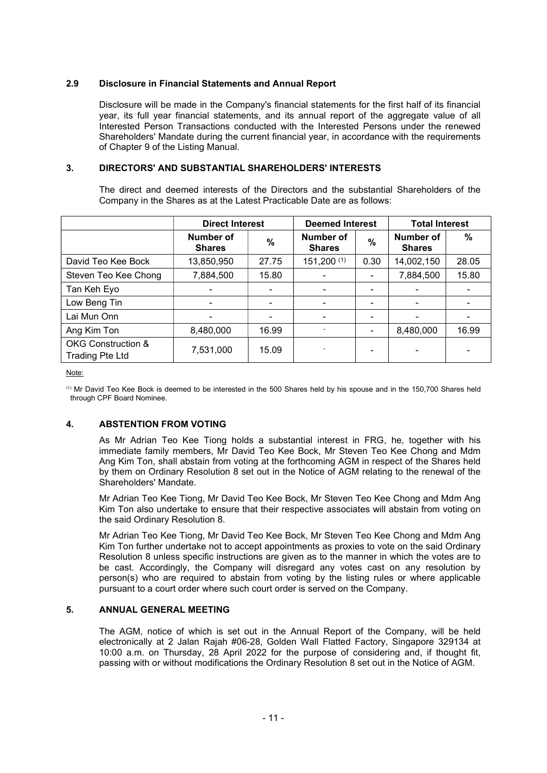### 2.9 Disclosure in Financial Statements and Annual Report

Disclosure will be made in the Company's financial statements for the first half of its financial year, its full year financial statements, and its annual report of the aggregate value of all Interested Person Transactions conducted with the Interested Persons under the renewed Shareholders' Mandate during the current financial year, in accordance with the requirements of Chapter 9 of the Listing Manual.

## 3. DIRECTORS' AND SUBSTANTIAL SHAREHOLDERS' INTERESTS

The direct and deemed interests of the Directors and the substantial Shareholders of the Company in the Shares as at the Latest Practicable Date are as follows:

|                                                         | <b>Direct Interest</b>     | <b>Deemed Interest</b>   |                                   | <b>Total Interest</b> |                                   |       |
|---------------------------------------------------------|----------------------------|--------------------------|-----------------------------------|-----------------------|-----------------------------------|-------|
|                                                         | Number of<br><b>Shares</b> | $\frac{0}{0}$            | <b>Number of</b><br><b>Shares</b> | %                     | <b>Number of</b><br><b>Shares</b> | %     |
| David Teo Kee Bock                                      | 13,850,950                 | 27.75                    | 151,200(1)                        | 0.30                  | 14,002,150                        | 28.05 |
| Steven Teo Kee Chong                                    | 7,884,500                  | 15.80                    |                                   |                       | 7,884,500                         | 15.80 |
| Tan Keh Eyo                                             |                            | $\blacksquare$           |                                   |                       |                                   |       |
| Low Beng Tin                                            |                            | $\overline{\phantom{a}}$ |                                   |                       |                                   |       |
| Lai Mun Onn                                             |                            | $\overline{\phantom{a}}$ |                                   |                       | $\blacksquare$                    |       |
| Ang Kim Ton                                             | 8,480,000                  | 16.99                    |                                   |                       | 8,480,000                         | 16.99 |
| <b>OKG Construction &amp;</b><br><b>Trading Pte Ltd</b> | 7,531,000                  | 15.09                    |                                   |                       |                                   |       |

Note:

(1) Mr David Teo Kee Bock is deemed to be interested in the 500 Shares held by his spouse and in the 150,700 Shares held through CPF Board Nominee.

## 4. ABSTENTION FROM VOTING

 As Mr Adrian Teo Kee Tiong holds a substantial interest in FRG, he, together with his immediate family members, Mr David Teo Kee Bock, Mr Steven Teo Kee Chong and Mdm Ang Kim Ton, shall abstain from voting at the forthcoming AGM in respect of the Shares held by them on Ordinary Resolution 8 set out in the Notice of AGM relating to the renewal of the Shareholders' Mandate.

 Mr Adrian Teo Kee Tiong, Mr David Teo Kee Bock, Mr Steven Teo Kee Chong and Mdm Ang Kim Ton also undertake to ensure that their respective associates will abstain from voting on the said Ordinary Resolution 8.

 Mr Adrian Teo Kee Tiong, Mr David Teo Kee Bock, Mr Steven Teo Kee Chong and Mdm Ang Kim Ton further undertake not to accept appointments as proxies to vote on the said Ordinary Resolution 8 unless specific instructions are given as to the manner in which the votes are to be cast. Accordingly, the Company will disregard any votes cast on any resolution by person(s) who are required to abstain from voting by the listing rules or where applicable pursuant to a court order where such court order is served on the Company.

## 5. ANNUAL GENERAL MEETING

The AGM, notice of which is set out in the Annual Report of the Company, will be held electronically at 2 Jalan Rajah #06-28, Golden Wall Flatted Factory, Singapore 329134 at 10:00 a.m. on Thursday, 28 April 2022 for the purpose of considering and, if thought fit, passing with or without modifications the Ordinary Resolution 8 set out in the Notice of AGM.